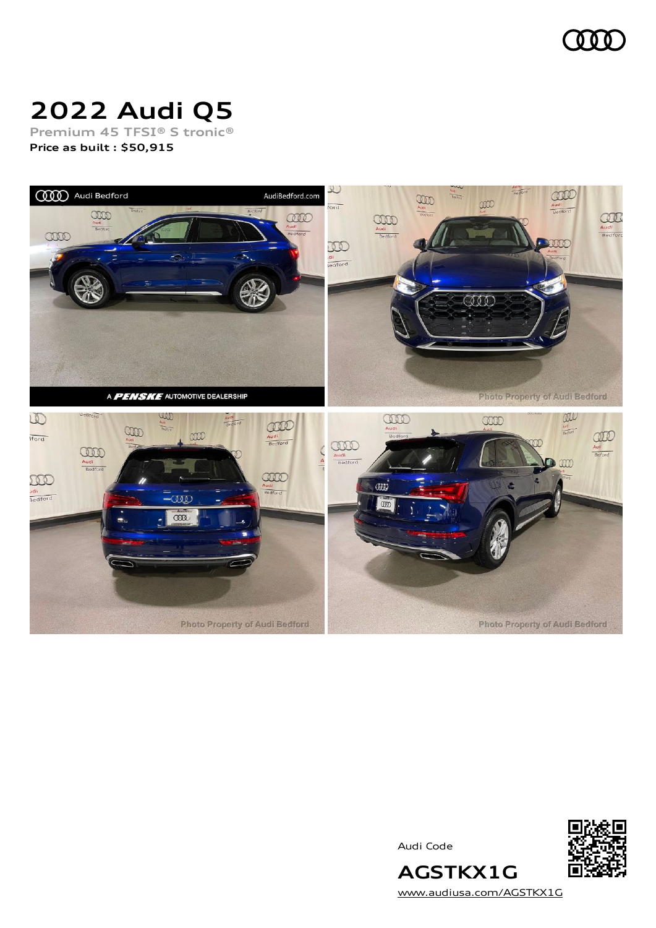

# **2022 Audi Q5**

**Premium 45 TFSI® S tronic® Price as built [:](#page-10-0) \$50,915**



Audi Code



[www.audiusa.com/AGSTKX1G](https://www.audiusa.com/AGSTKX1G)

**AGSTKX1G**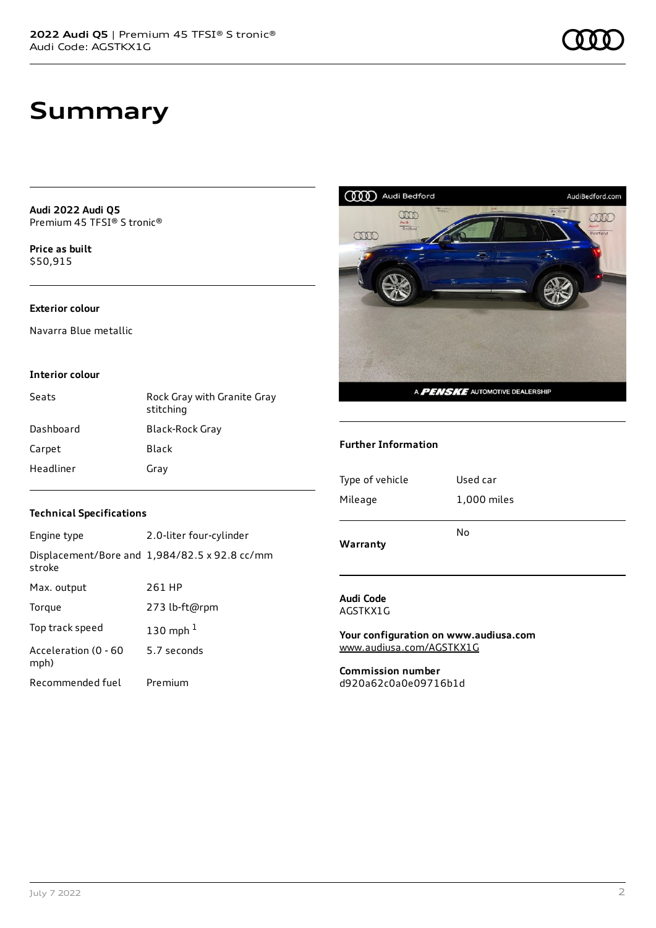### **Summary**

**Audi 2022 Audi Q5** Premium 45 TFSI® S tronic®

**Price as buil[t](#page-10-0)** \$50,915

### **Exterior colour**

Navarra Blue metallic

### **Interior colour**

| Seats     | Rock Gray with Granite Gray<br>stitching |
|-----------|------------------------------------------|
| Dashboard | Black-Rock Gray                          |
| Carpet    | Black                                    |
| Headliner | Gray                                     |



#### **Further Information**

| Type of vehicle | Used car    |
|-----------------|-------------|
| Mileage         | 1,000 miles |
| Warranty        | No          |

**Audi Code** AGSTKX1G

**Your configuration on www.audiusa.com** [www.audiusa.com/AGSTKX1G](https://www.audiusa.com/AGSTKX1G)

**Commission number** d920a62c0a0e09716b1d

### **Technical Specifications**

| Engine type                  | 2.0-liter four-cylinder                       |
|------------------------------|-----------------------------------------------|
| stroke                       | Displacement/Bore and 1,984/82.5 x 92.8 cc/mm |
| Max. output                  | 261 HP                                        |
| Torque                       | 273 lb-ft@rpm                                 |
| Top track speed              | 130 mph $1$                                   |
| Acceleration (0 - 60<br>mph) | 5.7 seconds                                   |
| Recommended fuel             | Premium                                       |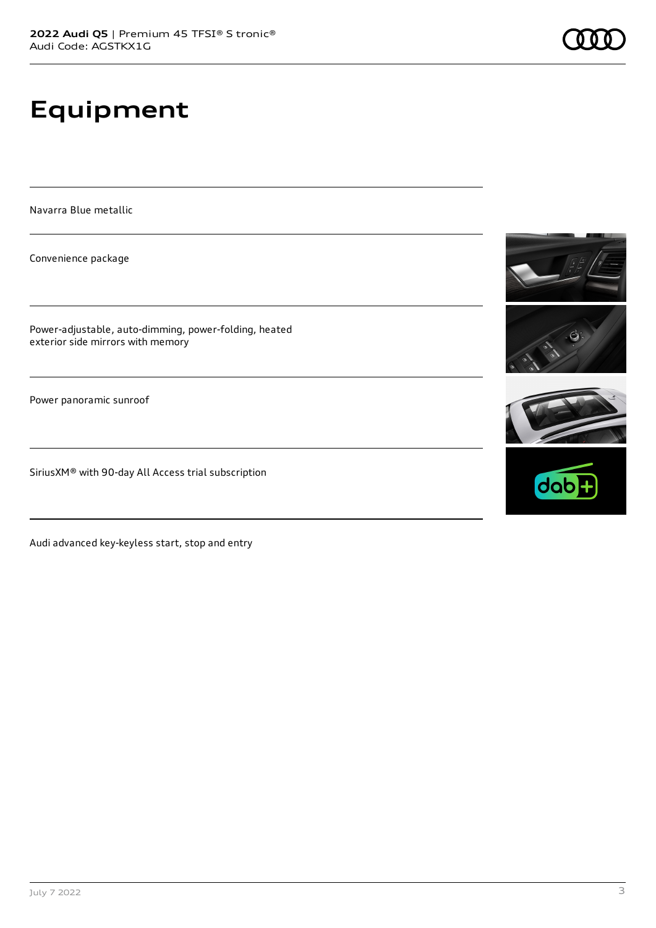## **Equipment**

Navarra Blue metallic

Convenience package

Power-adjustable, auto-dimming, power-folding, heated exterior side mirrors with memory

Power panoramic sunroof

SiriusXM® with 90-day All Access trial subscription

Audi advanced key-keyless start, stop and entry







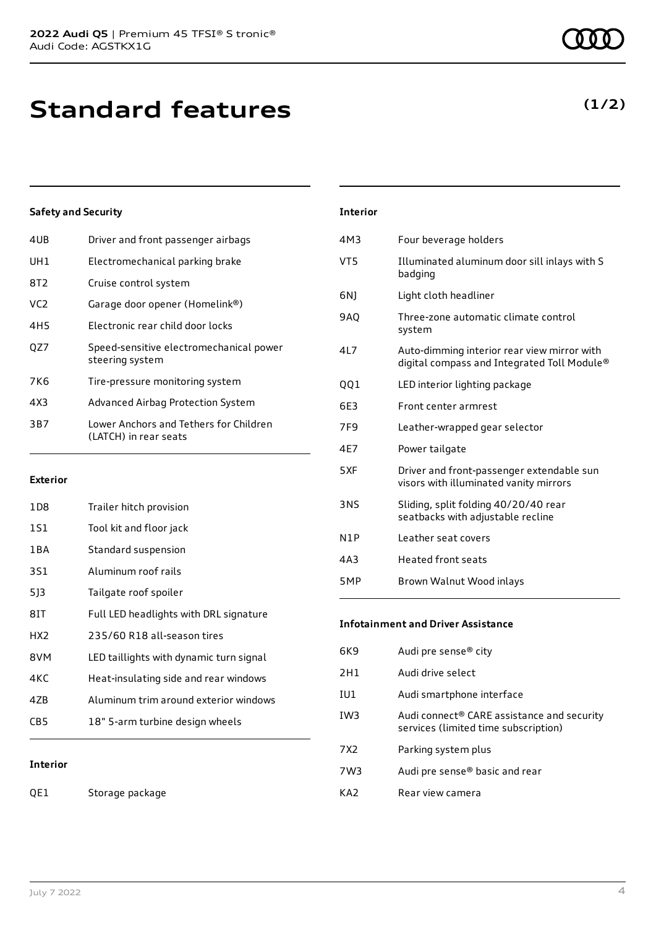**(1/2)**

### **Standard features**

### **Safety and Security**

| 4UB             | Driver and front passenger airbags                              |
|-----------------|-----------------------------------------------------------------|
| UH1             | Electromechanical parking brake                                 |
| 8T2             | Cruise control system                                           |
| VC <sub>2</sub> | Garage door opener (Homelink®)                                  |
| 4H5             | Electronic rear child door locks                                |
| OZ7             | Speed-sensitive electromechanical power<br>steering system      |
| 7K6             | Tire-pressure monitoring system                                 |
| 4X3             | Advanced Airbag Protection System                               |
| 3B7             | Lower Anchors and Tethers for Children<br>(LATCH) in rear seats |
|                 |                                                                 |

### **Exterior**

| 1D8             | Trailer hitch provision                 |
|-----------------|-----------------------------------------|
| 1S1             | Tool kit and floor jack                 |
| 1 B A           | Standard suspension                     |
| 3S1             | Aluminum roof rails                     |
| 513             | Tailgate roof spoiler                   |
| 8IT             | Full LED headlights with DRL signature  |
| HX <sub>2</sub> | 235/60 R18 all-season tires             |
| 8VM             | LED taillights with dynamic turn signal |
| 4KC             | Heat-insulating side and rear windows   |
| 47B             | Aluminum trim around exterior windows   |
| CB5             | 18" 5-arm turbine design wheels         |
|                 |                                         |

### **Interior**

QE1 Storage package

| <b>Interior</b>  |                                                                                            |
|------------------|--------------------------------------------------------------------------------------------|
| 4M3              | Four beverage holders                                                                      |
| VT5              | Illuminated aluminum door sill inlays with S<br>badging                                    |
| 6N)              | Light cloth headliner                                                                      |
| <b>9AO</b>       | Three-zone automatic climate control<br>system                                             |
| 417              | Auto-dimming interior rear view mirror with<br>digital compass and Integrated Toll Module® |
| 001              | LED interior lighting package                                                              |
| 6E3              | Front center armrest                                                                       |
| 7F <sub>9</sub>  | Leather-wrapped gear selector                                                              |
| 4F7              | Power tailgate                                                                             |
| 5XF              | Driver and front-passenger extendable sun<br>visors with illuminated vanity mirrors        |
| 3NS              | Sliding, split folding 40/20/40 rear<br>seatbacks with adjustable recline                  |
| N <sub>1</sub> P | Leather seat covers                                                                        |
| 4A3              | <b>Heated front seats</b>                                                                  |
|                  |                                                                                            |

| Brown Walnut Wood inlays |
|--------------------------|
|                          |

### **Infotainment and Driver Assistance**

| 6K9             | Audi pre sense <sup>®</sup> city                                                   |
|-----------------|------------------------------------------------------------------------------------|
| 2H1             | Audi drive select                                                                  |
| IU1             | Audi smartphone interface                                                          |
| IW3             | Audi connect® CARE assistance and security<br>services (limited time subscription) |
| 7X <sub>2</sub> | Parking system plus                                                                |
| 7W3             | Audi pre sense <sup>®</sup> basic and rear                                         |
| KA7             | Rear view camera                                                                   |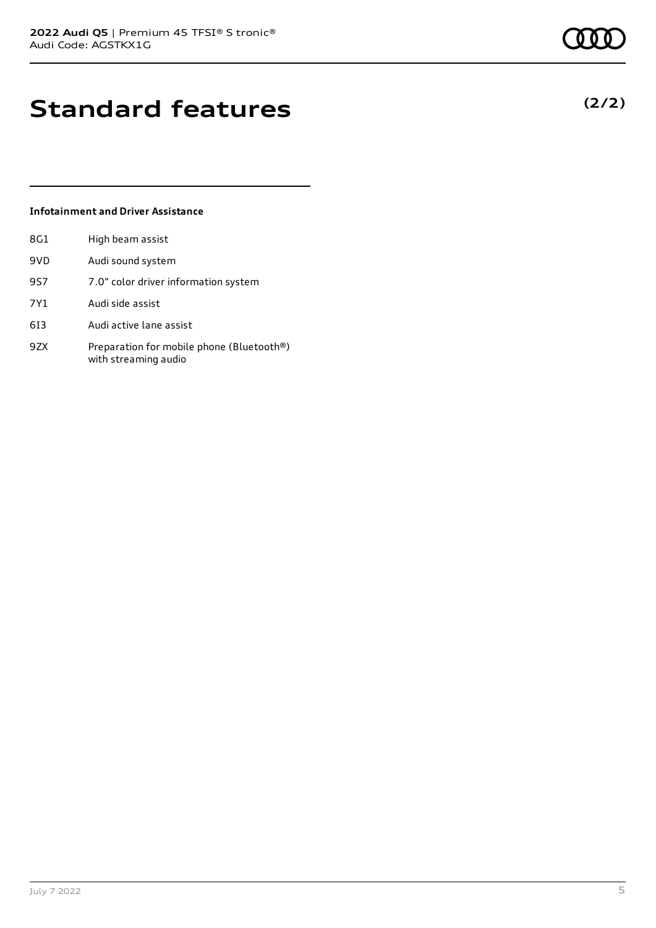## **Standard features**

### **Infotainment and Driver Assistance**

| 8G1 | High beam assist                                                  |
|-----|-------------------------------------------------------------------|
| 9VD | Audi sound system                                                 |
| 9S7 | 7.0" color driver information system                              |
| 7Y1 | Audi side assist                                                  |
| 613 | Audi active lane assist                                           |
| 9ZX | Preparation for mobile phone (Bluetooth®)<br>with streaming audio |

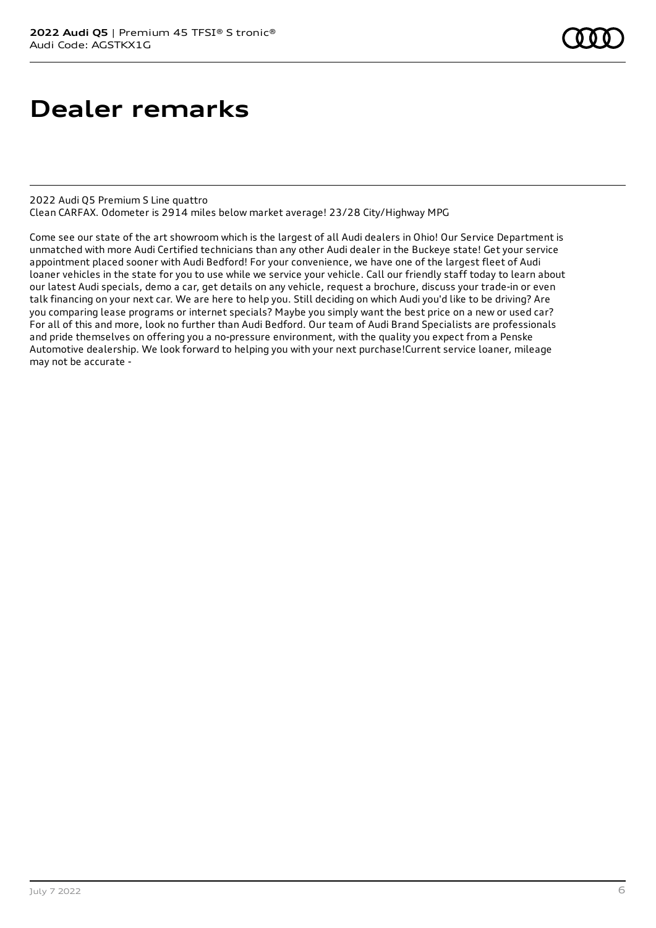### **Dealer remarks**

2022 Audi Q5 Premium S Line quattro Clean CARFAX. Odometer is 2914 miles below market average! 23/28 City/Highway MPG

Come see our state of the art showroom which is the largest of all Audi dealers in Ohio! Our Service Department is unmatched with more Audi Certified technicians than any other Audi dealer in the Buckeye state! Get your service appointment placed sooner with Audi Bedford! For your convenience, we have one of the largest fleet of Audi loaner vehicles in the state for you to use while we service your vehicle. Call our friendly staff today to learn about our latest Audi specials, demo a car, get details on any vehicle, request a brochure, discuss your trade-in or even talk financing on your next car. We are here to help you. Still deciding on which Audi you'd like to be driving? Are you comparing lease programs or internet specials? Maybe you simply want the best price on a new or used car? For all of this and more, look no further than Audi Bedford. Our team of Audi Brand Specialists are professionals and pride themselves on offering you a no-pressure environment, with the quality you expect from a Penske Automotive dealership. We look forward to helping you with your next purchase!Current service loaner, mileage may not be accurate -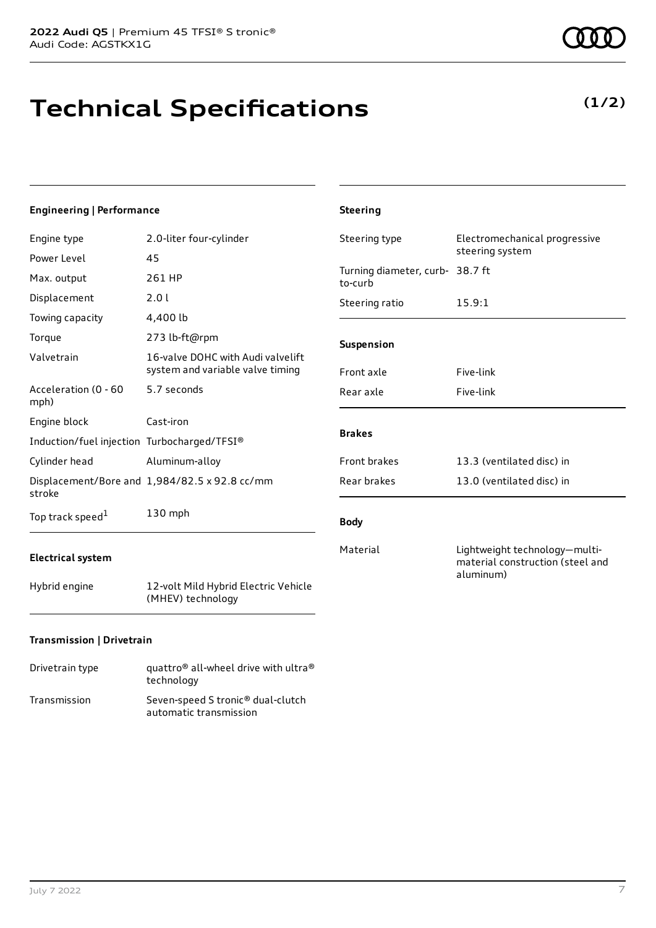**Technical Specifications**

#### **Engineering | Performance**

| Engine type                                 | 2.0-liter four-cylinder                                               | Steering             |
|---------------------------------------------|-----------------------------------------------------------------------|----------------------|
| Power Level                                 | 45                                                                    |                      |
| Max. output                                 | 261 HP                                                                | Turning d<br>to-curb |
| Displacement                                | 2.0 l                                                                 | Steering             |
| Towing capacity                             | 4,400 lb                                                              |                      |
| Torque                                      | 273 lb-ft@rpm                                                         | <b>Suspensi</b>      |
| Valvetrain                                  | 16-valve DOHC with Audi valvelift<br>system and variable valve timing | Front axl            |
| Acceleration (0 - 60<br>mph)                | 5.7 seconds                                                           | Rear axle            |
| Engine block                                | Cast-iron                                                             |                      |
| Induction/fuel injection Turbocharged/TFSI® |                                                                       | <b>Brakes</b>        |
| Cylinder head                               | Aluminum-alloy                                                        | Front bra            |
| stroke                                      | Displacement/Bore and 1,984/82.5 x 92.8 cc/mm                         | Rear bral            |
| Top track speed <sup>1</sup>                | $130$ mph                                                             | <b>Body</b>          |

### **Electrical system**

Hybrid engine 12-volt Mild Hybrid Electric Vehicle (MHEV) technology

### **Transmission | Drivetrain**

| Drivetrain type | quattro <sup>®</sup> all-wheel drive with ultra <sup>®</sup><br>technology |
|-----------------|----------------------------------------------------------------------------|
| Transmission    | Seven-speed S tronic <sup>®</sup> dual-clutch<br>automatic transmission    |

| <b>Steering</b>                            |                                                  |
|--------------------------------------------|--------------------------------------------------|
| Steering type                              | Electromechanical progressive<br>steering system |
| Turning diameter, curb- 38.7 ft<br>to-curb |                                                  |
| Steering ratio                             | 15.9:1                                           |
| <b>Suspension</b>                          |                                                  |
| Front axle                                 | Five-link                                        |
| Rear axle                                  | Five-link                                        |
| <b>Brakes</b>                              |                                                  |
| Front brakes                               | 13.3 (ventilated disc) in                        |
| Rear brakes                                | 13.0 (ventilated disc) in                        |

#### **Body**

Material Lightweight technology—multimaterial construction (steel and aluminum)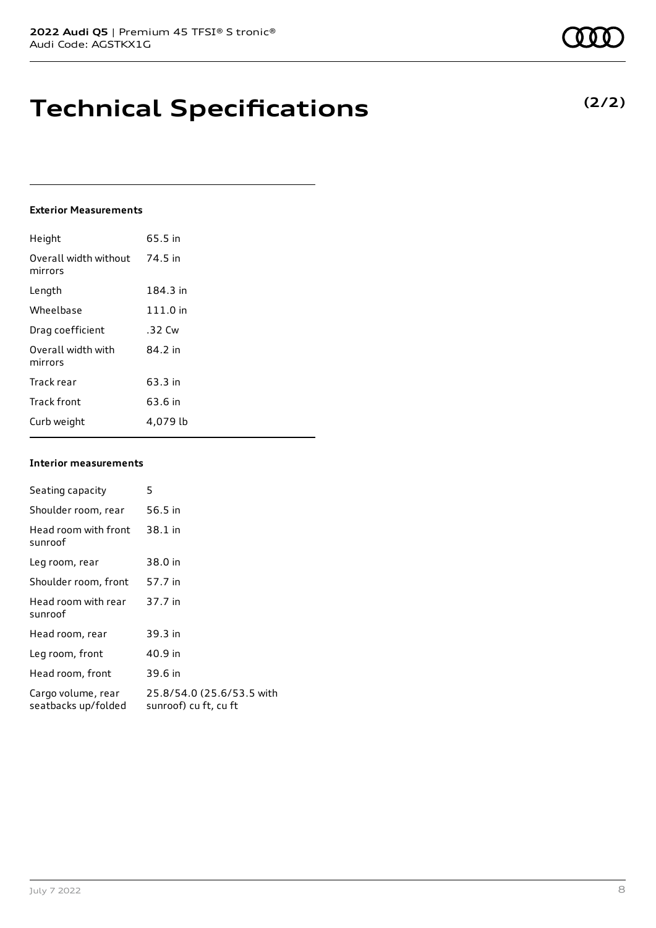# **Technical Specifications**

### **Exterior Measurements**

| Height                           | 65.5 in  |
|----------------------------------|----------|
| Overall width without<br>mirrors | 74.5 in  |
| Length                           | 184.3 in |
| Wheelbase                        | 111.0 in |
| Drag coefficient                 | .32 Cw   |
| Overall width with<br>mirrors    | 84.2 in  |
| Track rear                       | 63.3 in  |
| <b>Track front</b>               | 63.6 in  |
| Curb weight                      | 4,079 lb |

#### **Interior measurements**

| Seating capacity                          | 5                                                  |
|-------------------------------------------|----------------------------------------------------|
| Shoulder room, rear                       | 56.5 in                                            |
| Head room with front<br>sunroof           | 38.1 in                                            |
| Leg room, rear                            | 38.0 in                                            |
| Shoulder room, front                      | 57.7 in                                            |
| Head room with rear<br>sunroof            | 37.7 in                                            |
| Head room, rear                           | 39.3 in                                            |
| Leg room, front                           | 40.9 in                                            |
| Head room, front                          | 39.6 in                                            |
| Cargo volume, rear<br>seatbacks up/folded | 25.8/54.0 (25.6/53.5 with<br>sunroof) cu ft, cu ft |

### **(2/2)**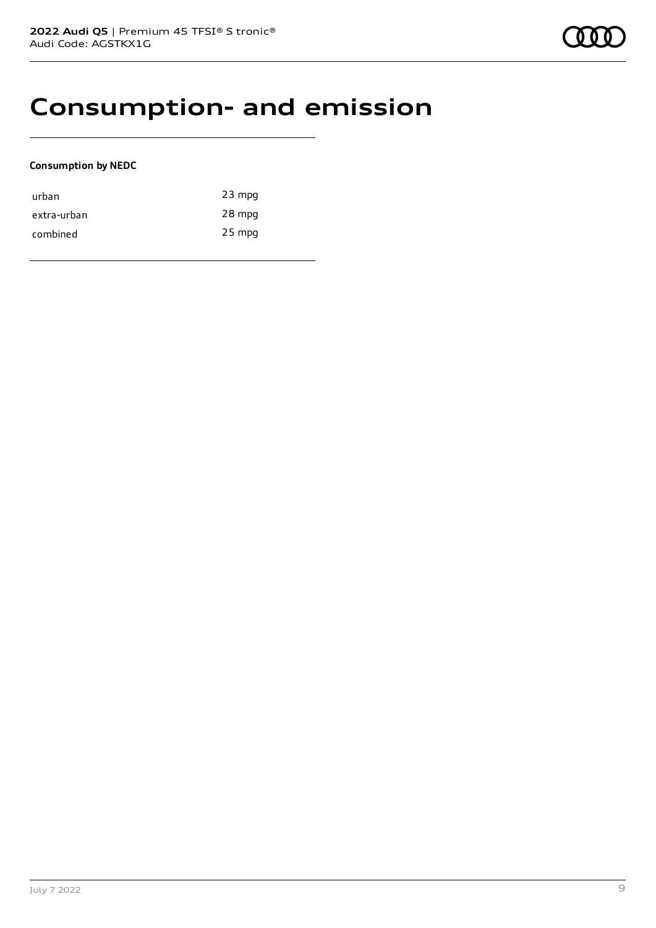### **Consumption- and emission**

### **Consumption by NEDC**

| urban       | $23$ mpg |
|-------------|----------|
| extra-urban | 28 mpg   |
| combined    | 25 mpg   |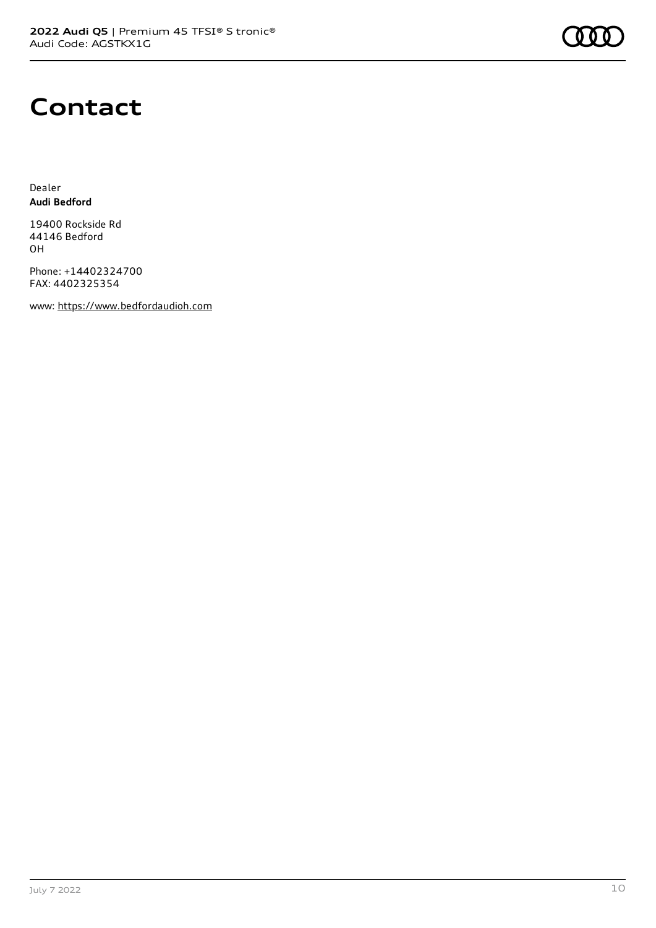

### **Contact**

Dealer **Audi Bedford**

19400 Rockside Rd 44146 Bedford OH

Phone: +14402324700 FAX: 4402325354

www: [https://www.bedfordaudioh.com](https://www.bedfordaudioh.com/)